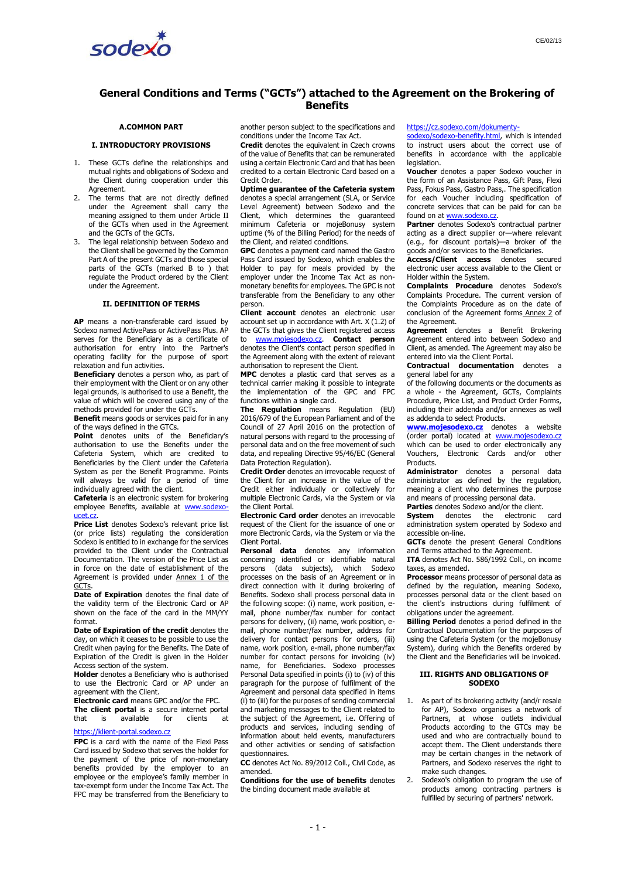

# **General Conditions and Terms ("GCTs") attached to the Agreement on the Brokering of Benefits**

# **A.COMMON PART**

### <span id="page-0-0"></span>**I. INTRODUCTORY PROVISIONS**

- 1. These GCTs define the relationships and mutual rights and obligations of Sodexo and the Client during cooperation under this Agreement.
- 2. The terms that are not directly defined under the Agreement shall carry the meaning assigned to them under Article II of the GCTs when used in the Agreement and the GCTs of the GCTs.
- 3. The legal relationship between Sodexo and the Client shall be governed by the Common Par[t A](#page-0-0) of the present GCTs and those special parts of the GCTs (marked [B](#page-2-0) to ) that regulate the Product ordered by the Client under the Agreement.

#### **II. DEFINITION OF TERMS**

**AP** means a non-transferable card issued by Sodexo named ActivePass or ActivePass Plus. AP serves for the Beneficiary as a certificate of authorisation for entry into the Partner's operating facility for the purpose of sport relaxation and fun activities.

**Beneficiary** denotes a person who, as part of their employment with the Client or on any other legal grounds, is authorised to use a Benefit, the value of which will be covered using any of the methods provided for under the GCTs.

**Benefit** means goods or services paid for in any of the ways defined in the GTCs.

**Point** denotes units of the Beneficiary's authorisation to use the Benefits under the Cafeteria System, which are credited to Beneficiaries by the Client under the Cafeteria System as per the Benefit Programme. Points will always be valid for a period of time individually agreed with the client.

**Cafeteria** is an electronic system for brokering employee Benefits, available at [www.sodexo](http://www.sodexo-ucet.cz/)[ucet.cz.](http://www.sodexo-ucet.cz/)

**Price List** denotes Sodexo's relevant price list (or price lists) regulating the consideration Sodexo is entitled to in exchange for the services provided to the Client under the Contractual Documentation. The version of the Price List as in force on the date of establishment of the Agreement is provided under Annex 1 of the GCT<sub>s</sub>

**Date of Expiration** denotes the final date of the validity term of the Electronic Card or AP shown on the face of the card in the MM/YY format.

**Date of Expiration of the credit** denotes the day, on which it ceases to be possible to use the Credit when paying for the Benefits. The Date of Expiration of the Credit is given in the Holder Access section of the system.

**Holder** denotes a Beneficiary who is authorised to use the Electronic Card or AP under an agreement with the Client.

**Electronic card** means GPC and/or the FPC. **The client portal** is a secure internet portal<br>that is available for clients at that is available for clients at

### [https://klient-portal.sodexo.cz](https://klient-portal.sodexo.cz/)

**FPC** is a card with the name of the Flexi Pass Card issued by Sodexo that serves the holder for the payment of the price of non-monetary benefits provided by the employer to an employee or the employee's family member in tax-exempt form under the Income Tax Act. The FPC may be transferred from the Beneficiary to

another person subject to the specifications and conditions under the Income Tax Act.

**Credit** denotes the equivalent in Czech crowns of the value of Benefits that can be remunerated using a certain Electronic Card and that has been credited to a certain Electronic Card based on a Credit Order.

**Uptime guarantee of the Cafeteria system**  denotes a special arrangement (SLA, or Service Level Agreement) between Sodexo and the Client, which determines the guaranteed minimum Cafeteria or mojeBonusy system uptime (% of the Billing Period) for the needs of the Client, and related conditions.

**GPC** denotes a payment card named the Gastro Pass Card issued by Sodexo, which enables the Holder to pay for meals provided by the employer under the Income Tax Act as nonmonetary benefits for employees. The GPC is not transferable from the Beneficiary to any other person.

**Client account** denotes an electronic user account set up in accordance with Art. [X](#page-2-1) [\(1.2](#page-3-0)) of the GCTs that gives the Client registered access to [www.mojesodexo.cz.](http://www.mojesodexo.cz/) **Contact person**  denotes the Client's contact person specified in the Agreement along with the extent of relevant authorisation to represent the Client.

**MPC** denotes a plastic card that serves as a technical carrier making it possible to integrate the implementation of the GPC and FPC functions within a single card.

**The Regulation** means Regulation (EU) 2016/679 of the European Parliament and of the Council of 27 April 2016 on the protection of natural persons with regard to the processing of personal data and on the free movement of such data, and repealing Directive 95/46/EC (General Data Protection Regulation).

**Credit Order** denotes an irrevocable request of the Client for an increase in the value of the Credit either individually or collectively for multiple Electronic Cards, via the System or via the Client Portal.

**Electronic Card order** denotes an irrevocable request of the Client for the issuance of one or more Electronic Cards, via the System or via the Client Portal.

**Personal data** denotes any information concerning identified or identifiable natural<br>nersons (data subjects) which Sodexo persons (data subjects), which processes on the basis of an Agreement or in direct connection with it during brokering of Benefits. Sodexo shall process personal data in the following scope: (i) name, work position, email, phone number/fax number for contact persons for delivery, (ii) name, work position, email, phone number/fax number, address for delivery for contact persons for orders, (iii) name, work position, e-mail, phone number/fax number for contact persons for invoicing (iv) name, for Beneficiaries. Sodexo processes Personal Data specified in points (i) to (iv) of this paragraph for the purpose of fulfilment of the Agreement and personal data specified in items (i) to (iii) for the purposes of sending commercial and marketing messages to the Client related to the subject of the Agreement, i.e. Offering of products and services, including sending of information about held events, manufacturers and other activities or sending of satisfaction questionnaires.

**CC** denotes Act No. 89/2012 Coll., Civil Code, as amended.

**Conditions for the use of benefits** denotes the binding document made available at

[https://cz.sodexo.com/dokumenty-](https://cz.sodexo.com/dokumenty-sodexo/sodexo-benefity.html)

[sodexo/sodexo-benefity.html,](https://cz.sodexo.com/dokumenty-sodexo/sodexo-benefity.html) which is intended to instruct users about the correct use of benefits in accordance with the applicable legislation.

**Voucher** denotes a paper Sodexo voucher in the form of an Assistance Pass, Gift Pass, Flexi Pass, Fokus Pass, Gastro Pass,. The specification for each Voucher including specification of concrete services that can be paid for can be found on at [www.sodexo.cz.](http://www.sodexo.cz/)

**Partner** denotes Sodexo's contractual partner acting as a direct supplier or—where relevant (e.g., for discount portals)—a broker of the goods and/or services to the Beneficiaries.

**Access/Client access** denotes secured electronic user access available to the Client or Holder within the System.

**Complaints Procedure** denotes Sodexo's Complaints Procedure. The current version of the Complaints Procedure as on the date of conclusion of the Agreement forms Annex 2 of the Agreement.

**Agreement** denotes a Benefit Brokering Agreement entered into between Sodexo and Client, as amended. The Agreement may also be entered into via the Client Portal.

**Contractual documentation** denotes a general label for any

of the following documents or the documents as a whole - the Agreement, GCTs, Complaints Procedure, Price List, and Product Order Forms, including their addenda and/or annexes as well as addenda to select Products.

**[www.mojesodexo.cz](http://www.mojesodexo.cz/)** denotes a website (order portal) located at [www.mojesodexo.cz](http://www.mojesodexo.cz/) which can be used to order electronically any Vouchers, Electronic Cards and/or other Products.

**Administrator** denotes a personal data administrator as defined by the regulation, meaning a client who determines the purpose and means of processing personal data.

**Parties** denotes Sodexo and/or the client.<br>**System** denotes the electronic

**System** denotes the electronic card administration system operated by Sodexo and accessible on-line.

**GCTs** denote the present General Conditions and Terms attached to the Agreement.

**ITA** denotes Act No. 586/1992 Coll., on income taxes, as amended.

**Processor** means processor of personal data as defined by the regulation, meaning Sodexo, processes personal data or the client based on the client's instructions during fulfilment of obligations under the agreement.

**Billing Period** denotes a period defined in the Contractual Documentation for the purposes of using the Cafeteria System (or the mojeBonusy System), during which the Benefits ordered by the Client and the Beneficiaries will be invoiced.

### **III. RIGHTS AND OBLIGATIONS OF SODEXO**

- 1. As part of its brokering activity (and/r resale for AP), Sodexo organises a network of Partners, at whose outlets individual Products according to the GTCs may be used and who are contractually bound to accept them. The Client understands there may be certain changes in the network of Partners, and Sodexo reserves the right to make such changes.
- 2. Sodexo's obligation to program the use of products among contracting partners is fulfilled by securing of partners' network.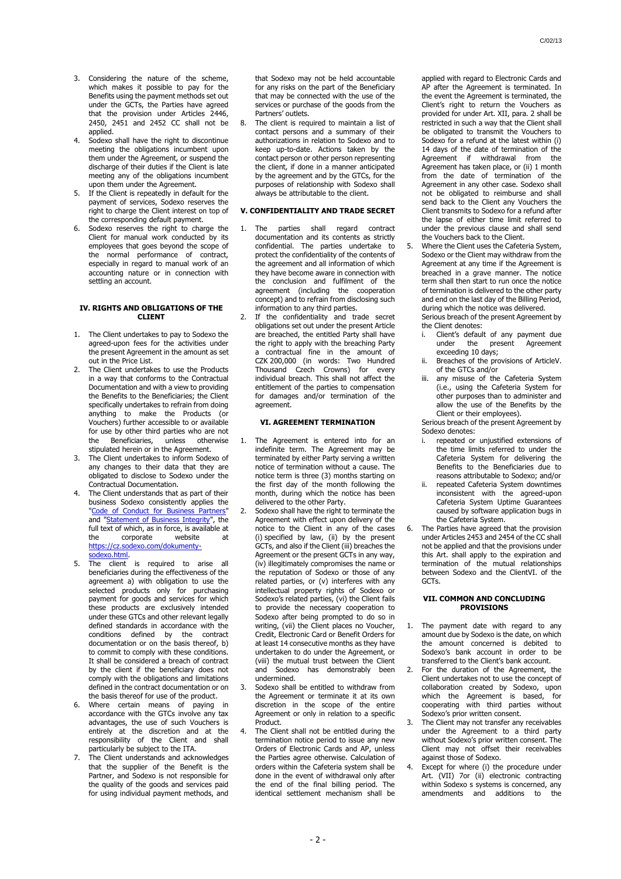- 3. Considering the nature of the scheme, which makes it possible to pay for the Benefits using the payment methods set out under the GCTs, the Parties have agreed that the provision under Articles 2446, 2450, 2451 and 2452 CC shall not be applied.
- Sodexo shall have the right to discontinue meeting the obligations incumbent upon them under the Agreement, or suspend the discharge of their duties if the Client is late meeting any of the obligations incumbent upon them under the Agreement.
- 5. If the Client is repeatedly in default for the payment of services, Sodexo reserves the right to charge the Client interest on top of the corresponding default payment.
- 6. Sodexo reserves the right to charge the Client for manual work conducted by its employees that goes beyond the scope of the normal performance of contract, especially in regard to manual work of an accounting nature or in connection with settling an account.

### <span id="page-1-4"></span>**IV. RIGHTS AND OBLIGATIONS OF THE CLIENT**

- 1. The Client undertakes to pay to Sodexo the agreed-upon fees for the activities under the present Agreement in the amount as set out in the Price List.
- The Client undertakes to use the Products in a way that conforms to the Contractual Documentation and with a view to providing the Benefits to the Beneficiaries; the Client specifically undertakes to refrain from doing anything to make the Products (or Vouchers) further accessible to or available for use by other third parties who are not<br>the Beneficiaries, unless otherwise the Beneficiaries, unless otherwise stipulated herein or in the Agreement.
- 3. The Client undertakes to inform Sodexo of any changes to their data that they are obligated to disclose to Sodexo under the Contractual Documentation.
- 4. The Client understands that as part of their business Sodexo consistently applies the "Code of Conduct for Business Partners and ["Statement of Business Integrity"](https://cz.sodexo.com/home/dokumenty-sodexo/sodexo-benefity/newsList-area/souhrnna-prohlaeni-sodexo-benefi/sodexo-statement.html), the full text of which, as in force, is available at the corporate website at [https://cz.sodexo.com/dokumenty](https://cz.sodexo.com/dokumenty-sodexo.html)[sodexo.html.](https://cz.sodexo.com/dokumenty-sodexo.html)
- <span id="page-1-6"></span>5. The client is required to arise all beneficiaries during the effectiveness of the agreement a) with obligation to use the selected products only for purchasing payment for goods and services for which these products are exclusively intended under these GTCs and other relevant legally defined standards in accordance with the conditions defined by the contract documentation or on the basis thereof, b) to commit to comply with these conditions. It shall be considered a breach of contract by the client if the beneficiary does not comply with the obligations and limitations defined in the contract documentation or on the basis thereof for use of the product.
- 6. Where certain means of paying in accordance with the GTCs involve any tax advantages, the use of such Vouchers is entirely at the discretion and at the responsibility of the Client and shall particularly be subject to the ITA.
- <span id="page-1-5"></span>7. The Client understands and acknowledges that the supplier of the Benefit is the Partner, and Sodexo is not responsible for the quality of the goods and services paid for using individual payment methods, and

that Sodexo may not be held accountable for any risks on the part of the Beneficiary that may be connected with the use of the services or purchase of the goods from the Partners' outlets.

8. The client is required to maintain a list of contact persons and a summary of their authorizations in relation to Sodexo and to keep up-to-date. Actions taken by the contact person or other person representing the client, if done in a manner anticipated by the agreement and by the GTCs, for the purposes of relationship with Sodexo shall always be attributable to the client.

# <span id="page-1-0"></span>**V. CONFIDENTIALITY AND TRADE SECRET**

- 1. The parties shall regard contract documentation and its contents as strictly confidential. The parties undertake to protect the confidentiality of the contents of the agreement and all information of which they have become aware in connection with the conclusion and fulfilment of the agreement (including the cooperation concept) and to refrain from disclosing such information to any third parties.
	- If the confidentiality and trade secret obligations set out under the present Article are breached, the entitled Party shall have the right to apply with the breaching Party a contractual fine in the amount of CZK 200,000 (in words: Two Hundred Thousand Czech Crowns) for every individual breach. This shall not affect the entitlement of the parties to compensation for damages and/or termination of the agreement.

### **VI. AGREEMENT TERMINATION**

- <span id="page-1-3"></span><span id="page-1-1"></span>1. The Agreement is entered into for an indefinite term. The Agreement may be terminated by either Party serving a written notice of termination without a cause. The notice term is three (3) months starting on the first day of the month following the month, during which the notice has been delivered to the other Party.
- 2. Sodexo shall have the right to terminate the Agreement with effect upon delivery of the notice to the Client in any of the cases (i) specified by law, (ii) by the present GCTs, and also if the Client (iii) breaches the Agreement or the present GCTs in any way, (iv) illegitimately compromises the name or the reputation of Sodexo or those of any related parties, or (v) interferes with any intellectual property rights of Sodexo or Sodexo's related parties, (vi) the Client fails to provide the necessary cooperation to Sodexo after being prompted to do so in writing, (vii) the Client places no Voucher, Credit, Electronic Card or Benefit Orders for at least 14 consecutive months as they have undertaken to do under the Agreement, or (viii) the mutual trust between the Client and Sodexo has demonstrably been undermined.
- 3. Sodexo shall be entitled to withdraw from the Agreement or terminate it at its own discretion in the scope of the entire Agreement or only in relation to a specific Product.
- The Client shall not be entitled during the termination notice period to issue any new Orders of Electronic Cards and AP, unless the Parties agree otherwise. Calculation of orders within the Cafeteria system shall be done in the event of withdrawal only after the end of the final billing period. The identical settlement mechanism shall be

applied with regard to Electronic Cards and AP after the Agreement is terminated. In the event the Agreement is terminated, the Client's right to return the Vouchers as provided for under Art[. XII,](#page-3-1) para. 2 shall be restricted in such a way that the Client shall be obligated to transmit the Vouchers to Sodexo for a refund at the latest within (i) 14 days of the date of termination of the Agreement if withdrawal from the Agreement has taken place, or (ii) 1 month from the date of termination of the Agreement in any other case. Sodexo shall not be obligated to reimburse and shall send back to the Client any Vouchers the Client transmits to Sodexo for a refund after the lapse of either time limit referred to under the previous clause and shall send the Vouchers back to the Client.

- Where the Client uses the Cafeteria System, Sodexo or the Client may withdraw from the Agreement at any time if the Agreement is breached in a grave manner. The notice term shall then start to run once the notice of termination is delivered to the other party and end on the last day of the Billing Period, during which the notice was delivered. Serious breach of the present Agreement by
- the Client denotes: i. Client's default of any payment due under the present Agreement
- exceeding 10 days; Breaches of the provisions of ArticleV. of the GTCs and/or
- iii. any misuse of the Cafeteria System (i.e., using the Cafeteria System for other purposes than to administer and allow the use of the Benefits by the Client or their employees).

Serious breach of the present Agreement by Sodexo denotes:

- repeated or unjustified extensions of the time limits referred to under the Cafeteria System for delivering the Benefits to the Beneficiaries due to reasons attributable to Sodexo; and/or
- ii. repeated Cafeteria System downtimes inconsistent with the agreed-upon Cafeteria System Uptime Guarantees caused by software application bugs in the Cafeteria System.
- 6. The Parties have agreed that the provision under Articles 2453 and 2454 of the CC shall not be applied and that the provisions under this Art. shall apply to the expiration and termination of the mutual relationships between Sodexo and the Clie[ntVI.](#page-1-1) of the GCTs.

# <span id="page-1-2"></span>**VII. COMMON AND CONCLUDING PROVISIONS**

- The payment date with regard to any amount due by Sodexo is the date, on which the amount concerned is debited to Sodexo's bank account in order to be transferred to the Client's bank account.
- 2. For the duration of the Agreement, the Client undertakes not to use the concept of collaboration created by Sodexo, upon which the Agreement is based, for cooperating with third parties without Sodexo's prior written consent.
- 3. The Client may not transfer any receivables under the Agreement to a third party without Sodexo's prior written consent. The Client may not offset their receivables against those of Sodexo.
- Except for where (i) the procedure under Art. [\(VII\)](#page-1-2) [7o](#page-2-2)r (ii) electronic contracting within Sodexo s systems is concerned, any amendments and additions to the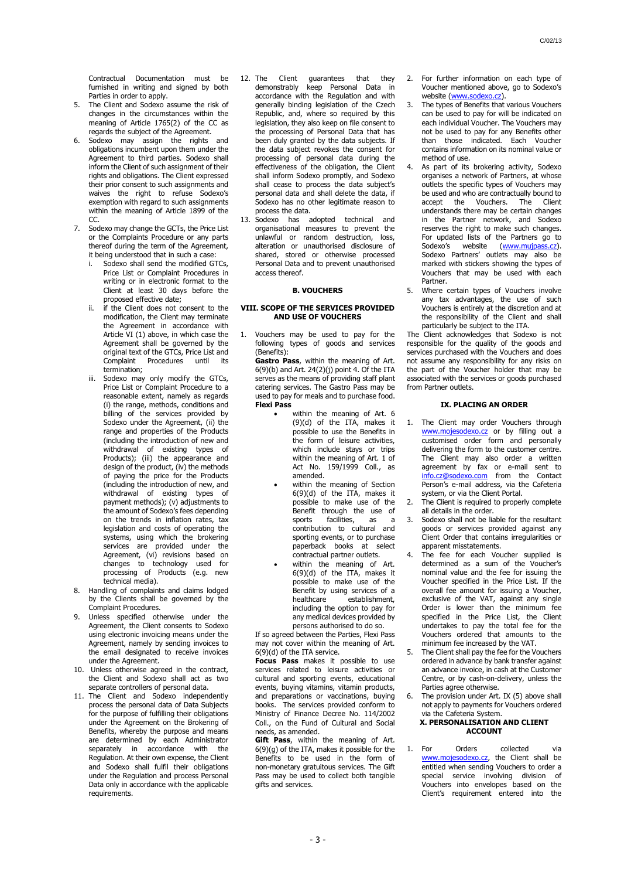Contractual Documentation must be furnished in writing and signed by both Parties in order to apply.

- 5. The Client and Sodexo assume the risk of changes in the circumstances within the meaning of Article 1765(2) of the CC as regards the subject of the Agreement.
- Sodexo may assign the rights and obligations incumbent upon them under the Agreement to third parties. Sodexo shall inform the Client of such assignment of their rights and obligations. The Client expressed their prior consent to such assignments and waives the right to refuse Sodexo's exemption with regard to such assignments within the meaning of Article 1899 of the CC.
- <span id="page-2-2"></span>Sodexo may change the GCTs, the Price List or the Complaints Procedure or any parts thereof during the term of the Agreement, it being understood that in such a case:
	- Sodexo shall send the modified GTCs, Price List or Complaint Procedures in writing or in electronic format to the Client at least 30 days before the proposed effective date;
	- if the Client does not consent to the modification, the Client may terminate the Agreement in accordance with Article [VI](#page-1-1) [\(1\)](#page-1-3) above, in which case the Agreement shall be governed by the original text of the GTCs, Price List and<br>Complaint Procedures until its Complaint Procedures until its termination;
	- iii. Sodexo may only modify the GTCs, Price List or Complaint Procedure to a reasonable extent, namely as regards (i) the range, methods, conditions and billing of the services provided by Sodexo under the Agreement, (ii) the range and properties of the Products (including the introduction of new and withdrawal of existing types of Products); (iii) the appearance and design of the product, (iv) the methods of paying the price for the Products (including the introduction of new, and withdrawal of existing types of payment methods); (v) adjustments to the amount of Sodexo's fees depending on the trends in inflation rates, tax legislation and costs of operating the systems, using which the brokering  $s$ ervices are provided under the Agreement, (vi) revisions based on changes to technology used for processing of Products (e.g. new technical media).
- 8. Handling of complaints and claims lodged by the Clients shall be governed by the Complaint Procedures.
- Unless specified otherwise under the Agreement, the Client consents to Sodexo using electronic invoicing means under the Agreement, namely by sending invoices to the email designated to receive invoices under the Agreement.
- 10. Unless otherwise agreed in the contract, the Client and Sodexo shall act as two separate controllers of personal data.
- 11. The Client and Sodexo independently process the personal data of Data Subjects for the purpose of fulfilling their obligations under the Agreement on the Brokering of Benefits, whereby the purpose and means are determined by each Administrator separately in accordance with the Regulation. At their own expense, the Client and Sodexo shall fulfil their obligations under the Regulation and process Personal Data only in accordance with the applicable requirements.
- 12. The Client guarantees that they demonstrably keep Personal Data in accordance with the Regulation and with generally binding legislation of the Czech Republic, and, where so required by this legislation, they also keep on file consent to the processing of Personal Data that has been duly granted by the data subjects. If the data subject revokes the consent for processing of personal data during the effectiveness of the obligation, the Client shall inform Sodexo promptly, and Sodexo shall cease to process the data subject's personal data and shall delete the data, if Sodexo has no other legitimate reason to process the data.
- 13. Sodexo has adopted technical and organisational measures to prevent the unlawful or random destruction, loss, alteration or unauthorised disclosure of shared, stored or otherwise processed Personal Data and to prevent unauthorised access thereof.

# <span id="page-2-0"></span>**B. VOUCHERS**

# **VIII. SCOPE OF THE SERVICES PROVIDED AND USE OF VOUCHERS**

1. Vouchers may be used to pay for the following types of goods and services (Benefits):

**Gastro Pass**, within the meaning of Art.  $6(9)(b)$  and Art. 24(2)(j) point 4. Of the ITA serves as the means of providing staff plant catering services. The Gastro Pass may be used to pay for meals and to purchase food. **Flexi Pass**

- within the meaning of Art. 6 (9)(d) of the ITA, makes it possible to use the Benefits in the form of leisure activities, which include stays or trips within the meaning of Art. 1 of Act No. 159/1999 Coll., as amended.
- within the meaning of Section 6(9)(d) of the ITA, makes it possible to make use of the Benefit through the use of sports facilities, as a contribution to cultural and sporting events, or to purchase paperback books at select contractual partner outlets.
- within the meaning of Art. 6(9)(d) of the ITA, makes it possible to make use of the Benefit by using services of a healthcare establishment, including the option to pay for any medical devices provided by persons authorised to do so.

If so agreed between the Parties, Flexi Pass may not cover within the meaning of Art. 6(9)(d) of the ITA service.

**Focus Pass** makes it possible to use services related to leisure activities or cultural and sporting events, educational events, buying vitamins, vitamin products, and preparations or vaccinations, buying books. The services provided conform to Ministry of Finance Decree No. 114/2002 Coll., on the Fund of Cultural and Social needs, as amended.

**Gift Pass**, within the meaning of Art. 6(9)(g) of the ITA, makes it possible for the Benefits to be used in the form of non-monetary gratuitous services. The Gift Pass may be used to collect both tangible gifts and services.

- 2. For further information on each type of Voucher mentioned above, go to Sodexo's website [\(www.sodexo.cz\)](http://www.sodexo.cz/).
- The types of Benefits that various Vouchers can be used to pay for will be indicated on each individual Voucher. The Vouchers may not be used to pay for any Benefits other than those indicated. Each Voucher contains information on its nominal value or method of use.
- As part of its brokering activity, Sodexo organises a network of Partners, at whose outlets the specific types of Vouchers may be used and who are contractually bound to<br>accept the Vouchers. The Client accept the Vouchers. The understands there may be certain changes in the Partner network, and Sodexo reserves the right to make such changes. For updated lists of the Partners go to Sodexo's website ([www.mujpass.cz\)](http://www.mujpass.cz/). Sodexo Partners' outlets may also be marked with stickers showing the types of Vouchers that may be used with each Partner.
- 5. Where certain types of Vouchers involve any tax advantages, the use of such Vouchers is entirely at the discretion and at the responsibility of the Client and shall particularly be subject to the ITA.

The Client acknowledges that Sodexo is not responsible for the quality of the goods and services purchased with the Vouchers and does not assume any responsibility for any risks on the part of the Voucher holder that may be associated with the services or goods purchased from Partner outlets.

# **IX. PLACING AN ORDER**

- <span id="page-2-3"></span>1. The Client may order Vouchers through [www.mojesodexo.cz](http://www.mojesodexo.cz/) or by filling out a customised order form and personally delivering the form to the customer centre. The Client may also order a written agreement by fax or e-mail sent to [info.cz@sodexo.com](mailto:info.cz@sodexo.com) from the Contact **Person's e-mail address, via the Cafeteria** system, or via the Client Portal.
- The Client is required to properly complete all details in the order.
- 3. Sodexo shall not be liable for the resultant goods or services provided against any Client Order that contains irregularities or apparent misstatements.
- The fee for each Voucher supplied is determined as a sum of the Voucher's nominal value and the fee for issuing the Voucher specified in the Price List. If the overall fee amount for issuing a Voucher, exclusive of the VAT, against any single Order is lower than the minimum fee specified in the Price List, the Client undertakes to pay the total fee for the Vouchers ordered that amounts to the minimum fee increased by the VAT.
- <span id="page-2-4"></span>5. The Client shall pay the fee for the Vouchers ordered in advance by bank transfer against an advance invoice, in cash at the Customer Centre, or by cash-on-delivery, unless the Parties agree otherwise.
- The provision under Art. [IX](#page-2-3) [\(5\)](#page-2-4) above shall not apply to payments for Vouchers ordered via the Cafeteria System.

# <span id="page-2-1"></span>**X. PERSONALISATION AND CLIENT ACCOUNT**

1. For Orders collected via [www.mojesodexo.cz,](http://www.mojesodexo.cz/) the Client shall be entitled when sending Vouchers to order a special service involving division of Vouchers into envelopes based on the Client's requirement entered into the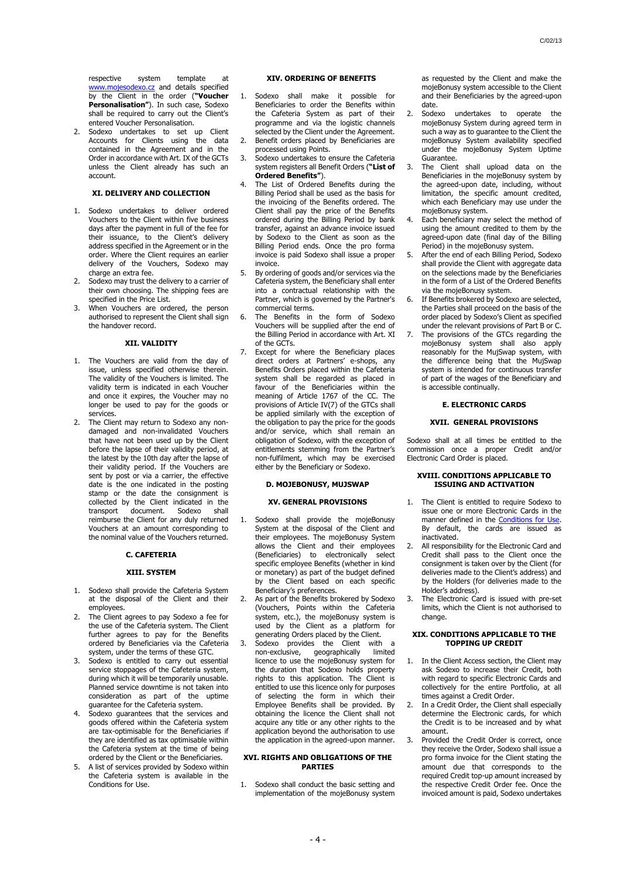respective system template [www.mojesodexo.cz](http://www.mojesodexo.cz/) and details specified by the Client in the order (**"Voucher Personalisation"**). In such case, Sodexo shall be required to carry out the Client's entered Voucher Personalisation.

<span id="page-3-0"></span>2. Sodexo undertakes to set up Client Accounts for Clients using the data contained in the Agreement and in the Order in accordance with Art[. IX](#page-2-3) of the GCTs unless the Client already has such an account.

# **XI. DELIVERY AND COLLECTION**

- <span id="page-3-2"></span>Sodexo undertakes to deliver ordered Vouchers to the Client within five business days after the payment in full of the fee for their issuance, to the Client's delivery address specified in the Agreement or in the order. Where the Client requires an earlier delivery of the Vouchers, Sodexo may charge an extra fee.
- 2. Sodexo may trust the delivery to a carrier of their own choosing. The shipping fees are specified in the Price List.
- When Vouchers are ordered, the person authorised to represent the Client shall sign the handover record.

#### **XII. VALIDITY**

- <span id="page-3-1"></span>1. The Vouchers are valid from the day of issue, unless specified otherwise therein. The validity of the Vouchers is limited. The validity term is indicated in each Voucher and once it expires, the Voucher may no longer be used to pay for the goods or services.
- The Client may return to Sodexo any nondamaged and non-invalidated Vouchers that have not been used up by the Client before the lapse of their validity period, at the latest by the 10th day after the lapse of their validity period. If the Vouchers are sent by post or via a carrier, the effective date is the one indicated in the posting stamp or the date the consignment is collected by the Client indicated in the transport document. Sodexo shall reimburse the Client for any duly returned Vouchers at an amount corresponding to the nominal value of the Vouchers returned.

# <span id="page-3-3"></span>**C. CAFETERIA**

#### **XIII. SYSTEM**

- 1. Sodexo shall provide the Cafeteria System at the disposal of the Client and their employees.
- 2. The Client agrees to pay Sodexo a fee for the use of the Cafeteria system. The Client further agrees to pay for the Benefits ordered by Beneficiaries via the Cafeteria system, under the terms of these GTC.
- 3. Sodexo is entitled to carry out essential service stoppages of the Cafeteria system, during which it will be temporarily unusable. Planned service downtime is not taken into consideration as part of the uptime guarantee for the Cafeteria system.
- Sodexo guarantees that the services and goods offered within the Cafeteria system are tax-optimisable for the Beneficiaries if they are identified as tax optimisable within the Cafeteria system at the time of being ordered by the Client or the Beneficiaries.
- 5. A list of services provided by Sodexo within the Cafeteria system is available in the Conditions for Use.

### **XIV. ORDERING OF BENEFITS**

- 1. Sodexo shall make it possible for Beneficiaries to order the Benefits within the Cafeteria System as part of their programme and via the logistic channels selected by the Client under the Agreement. Benefit orders placed by Beneficiaries are
- processed using Points. 3. Sodexo undertakes to ensure the Cafeteria system registers all Benefit Orders (**"List of**
- **Ordered Benefits"**). The List of Ordered Benefits during the
- Billing Period shall be used as the basis for the invoicing of the Benefits ordered. The Client shall pay the price of the Benefits ordered during the Billing Period by bank transfer, against an advance invoice issued by Sodexo to the Client as soon as the Billing Period ends. Once the pro forma invoice is paid Sodexo shall issue a proper invoice.
- By ordering of goods and/or services via the Cafeteria system, the Beneficiary shall enter into a contractual relationship with the Partner, which is governed by the Partner's commercial terms.
- The Benefits in the form of Sodexo Vouchers will be supplied after the end of the Billing Period in accordance with Art. [XI](#page-3-2) of the GCTs.
- Except for where the Beneficiary places direct orders at Partners' e-shops, any Benefits Orders placed within the Cafeteria system shall be regarded as placed in favour of the Beneficiaries within the meaning of Article 1767 of the CC. The provisions of Articl[e IV\(](#page-1-4)[7\)](#page-1-5) of the GTCs shall be applied similarly with the exception of the obligation to pay the price for the goods and/or service, which shall remain an obligation of Sodexo, with the exception of entitlements stemming from the Partner's non-fulfilment, which may be exercised either by the Beneficiary or Sodexo.

# **D. MOJEBONUSY, MUJSWAP**

# **XV. GENERAL PROVISIONS**

- 1. Sodexo shall provide the mojeBonusy System at the disposal of the Client and their employees. The mojeBonusy System allows the Client and their employees (Beneficiaries) to electronically select specific employee Benefits (whether in kind or monetary) as part of the budget defined by the Client based on each specific Beneficiary's preferences.
- 2. As part of the Benefits brokered by Sodexo (Vouchers, Points within the Cafeteria system, etc.), the mojeBonusy system is used by the Client as a platform for generating Orders placed by the Client.
- 3. Sodexo provides the Client with a geographically limited licence to use the mojeBonusy system for the duration that Sodexo holds property rights to this application. The Client is entitled to use this licence only for purposes of selecting the form in which their Employee Benefits shall be provided. By obtaining the licence the Client shall not acquire any title or any other rights to the application beyond the authorisation to use the application in the agreed-upon manner.

#### **XVI. RIGHTS AND OBLIGATIONS OF THE PARTIES**

1. Sodexo shall conduct the basic setting and implementation of the mojeBonusy system

as requested by the Client and make the mojeBonusy system accessible to the Client and their Beneficiaries by the agreed-upon

- date.<br>Sodexo 2. Sodexo undertakes to operate the mojeBonusy System during agreed term in such a way as to guarantee to the Client the mojeBonusy System availability specified under the mojeBonusy System Uptime Guarantee.
- The Client shall upload data on the Beneficiaries in the mojeBonusy system by the agreed-upon date, including, without limitation, the specific amount credited, which each Beneficiary may use under the mojeBonusy system.
- Each beneficiary may select the method of using the amount credited to them by the agreed-upon date (final day of the Billing Period) in the mojeBonusy system.
- After the end of each Billing Period, Sodexo shall provide the Client with aggregate data on the selections made by the Beneficiaries in the form of a List of the Ordered Benefits via the mojeBonusy system.
- 6. If Benefits brokered by Sodexo are selected, the Parties shall proceed on the basis of the order placed by Sodexo's Client as specified under the relevant provisions of Part [B](#page-2-0) o[r C.](#page-3-3)
- 7. The provisions of the GTCs regarding the mojeBonusy system shall also apply reasonably for the MujSwap system, with the difference being that the MujSwap system is intended for continuous transfer of part of the wages of the Beneficiary and is accessible continually.

# **E. ELECTRONIC CARDS**

#### **XVII. GENERAL PROVISIONS**

Sodexo shall at all times be entitled to the commission once a proper Credit and/or Electronic Card Order is placed.

### **XVIII. CONDITIONS APPLICABLE TO ISSUING AND ACTIVATION**

- 1. The Client is entitled to require Sodexo to issue one or more Electronic Cards in the manner defined in the [Conditions for Use.](https://cz.sodexo.com/home/dokumenty-sodexo/sodexo-benefity/newsList-area/souhrnna-prohlaeni-sodexo-benefi/podminky-uzivani-benefitu.html) By default, the cards are issued as inactivated.
- 2. All responsibility for the Electronic Card and Credit shall pass to the Client once the consignment is taken over by the Client (for deliveries made to the Client's address) and by the Holders (for deliveries made to the Holder's address).
- 3. The Electronic Card is issued with pre-set limits, which the Client is not authorised to change.

### **XIX. CONDITIONS APPLICABLE TO THE TOPPING UP CREDIT**

- 1. In the Client Access section, the Client may ask Sodexo to increase their Credit, both with regard to specific Electronic Cards and collectively for the entire Portfolio, at all times against a Credit Order.
- 2. In a Credit Order, the Client shall especially determine the Electronic cards, for which the Credit is to be increased and by what amount.
- 3. Provided the Credit Order is correct, once they receive the Order, Sodexo shall issue a pro forma invoice for the Client stating the amount due that corresponds to the required Credit top-up amount increased by the respective Credit Order fee. Once the invoiced amount is paid, Sodexo undertakes